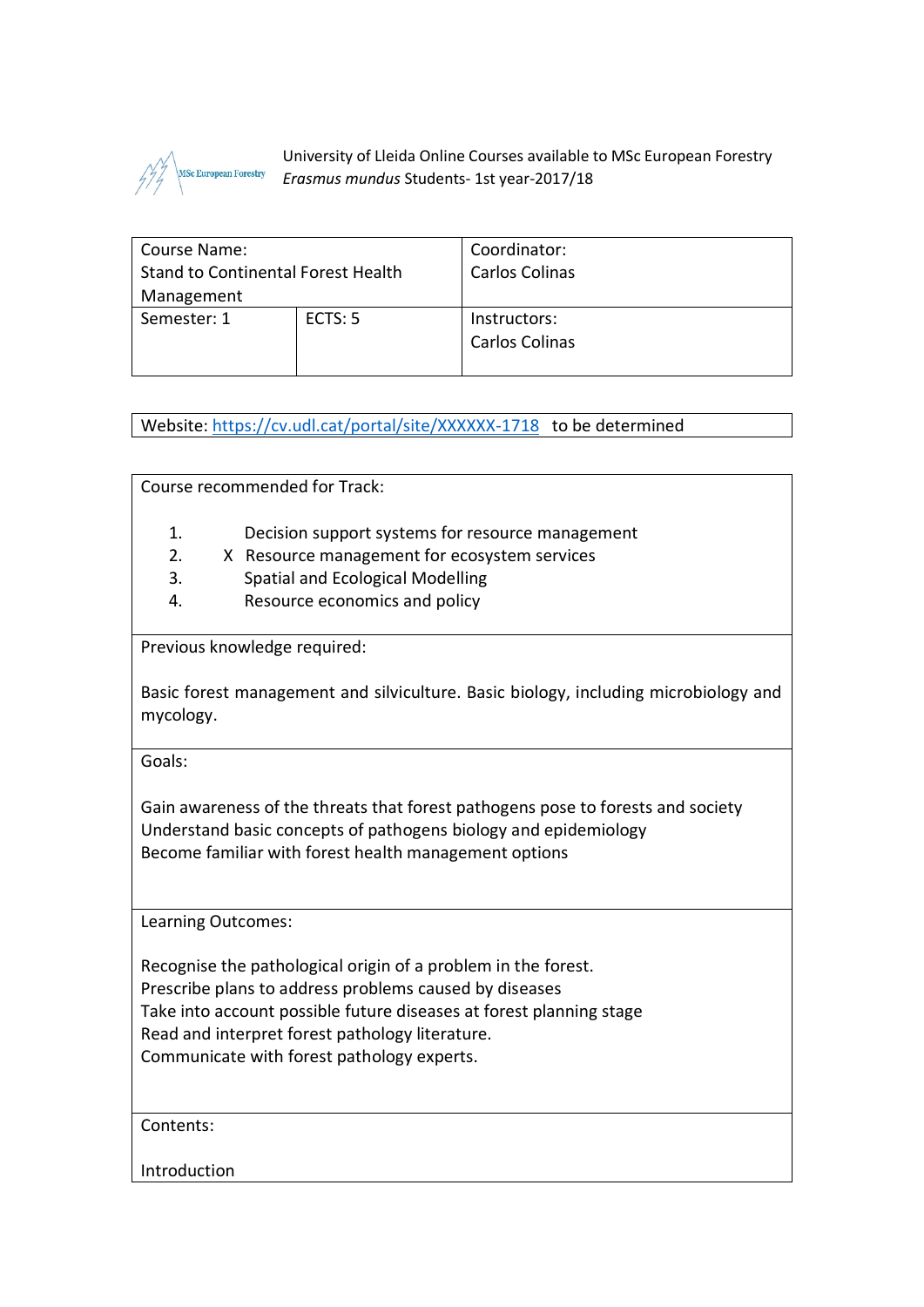

University of Lleida Online Courses available to MSc European Forestry *Erasmus mundus* Students- 1st year-2017/18

| Course Name:                       |         | Coordinator:          |
|------------------------------------|---------|-----------------------|
| Stand to Continental Forest Health |         | <b>Carlos Colinas</b> |
| Management                         |         |                       |
| Semester: 1                        | ECTS: 5 | Instructors:          |
|                                    |         | Carlos Colinas        |
|                                    |         |                       |

Website:<https://cv.udl.cat/portal/site/XXXXXX-1718>to be determined

Course recommended for Track:

- 1. Decision support systems for resource management
- 2. X Resource management for ecosystem services
- 3. Spatial and Ecological Modelling
- 4. Resource economics and policy

Previous knowledge required:

Basic forest management and silviculture. Basic biology, including microbiology and mycology.

Goals:

Gain awareness of the threats that forest pathogens pose to forests and society Understand basic concepts of pathogens biology and epidemiology Become familiar with forest health management options

Learning Outcomes:

Recognise the pathological origin of a problem in the forest. Prescribe plans to address problems caused by diseases Take into account possible future diseases at forest planning stage Read and interpret forest pathology literature. Communicate with forest pathology experts.

Contents:

Introduction